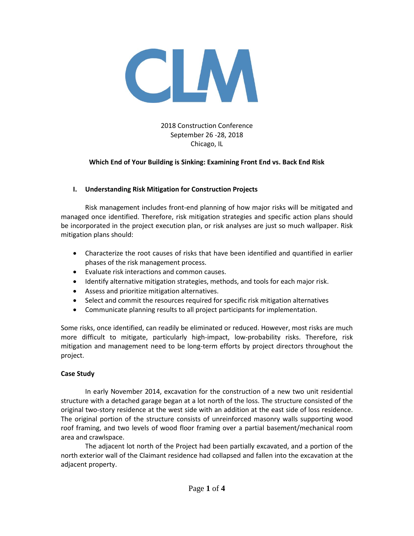

2018 Construction Conference September 26 -28, 2018 Chicago, IL

### **Which End of Your Building is Sinking: Examining Front End vs. Back End Risk**

### **I. Understanding Risk Mitigation for Construction Projects**

Risk management includes front-end planning of how major risks will be mitigated and managed once identified. Therefore, risk mitigation strategies and specific action plans should be incorporated in the project execution plan, or risk analyses are just so much wallpaper. Risk mitigation plans should:

- Characterize the root causes of risks that have been identified and quantified in earlier phases of the risk management process.
- Evaluate risk interactions and common causes.
- Identify alternative mitigation strategies, methods, and tools for each major risk.
- Assess and prioritize mitigation alternatives.
- Select and commit the resources required for specific risk mitigation alternatives
- Communicate planning results to all project participants for implementation.

Some risks, once identified, can readily be eliminated or reduced. However, most risks are much more difficult to mitigate, particularly high-impact, low-probability risks. Therefore, risk mitigation and management need to be long-term efforts by project directors throughout the project.

#### **Case Study**

In early November 2014, excavation for the construction of a new two unit residential structure with a detached garage began at a lot north of the loss. The structure consisted of the original two-story residence at the west side with an addition at the east side of loss residence. The original portion of the structure consists of unreinforced masonry walls supporting wood roof framing, and two levels of wood floor framing over a partial basement/mechanical room area and crawlspace.

The adjacent lot north of the Project had been partially excavated, and a portion of the north exterior wall of the Claimant residence had collapsed and fallen into the excavation at the adjacent property.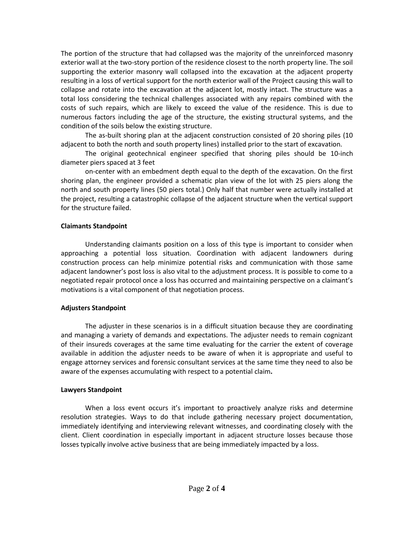The portion of the structure that had collapsed was the majority of the unreinforced masonry exterior wall at the two-story portion of the residence closest to the north property line. The soil supporting the exterior masonry wall collapsed into the excavation at the adjacent property resulting in a loss of vertical support for the north exterior wall of the Project causing this wall to collapse and rotate into the excavation at the adjacent lot, mostly intact. The structure was a total loss considering the technical challenges associated with any repairs combined with the costs of such repairs, which are likely to exceed the value of the residence. This is due to numerous factors including the age of the structure, the existing structural systems, and the condition of the soils below the existing structure.

The as-built shoring plan at the adjacent construction consisted of 20 shoring piles (10 adjacent to both the north and south property lines) installed prior to the start of excavation.

The original geotechnical engineer specified that shoring piles should be 10-inch diameter piers spaced at 3 feet

on-center with an embedment depth equal to the depth of the excavation. On the first shoring plan, the engineer provided a schematic plan view of the lot with 25 piers along the north and south property lines (50 piers total.) Only half that number were actually installed at the project, resulting a catastrophic collapse of the adjacent structure when the vertical support for the structure failed.

#### **Claimants Standpoint**

Understanding claimants position on a loss of this type is important to consider when approaching a potential loss situation. Coordination with adjacent landowners during construction process can help minimize potential risks and communication with those same adjacent landowner's post loss is also vital to the adjustment process. It is possible to come to a negotiated repair protocol once a loss has occurred and maintaining perspective on a claimant's motivations is a vital component of that negotiation process.

# **Adjusters Standpoint**

The adjuster in these scenarios is in a difficult situation because they are coordinating and managing a variety of demands and expectations. The adjuster needs to remain cognizant of their insureds coverages at the same time evaluating for the carrier the extent of coverage available in addition the adjuster needs to be aware of when it is appropriate and useful to engage attorney services and forensic consultant services at the same time they need to also be aware of the expenses accumulating with respect to a potential claim**.** 

# **Lawyers Standpoint**

When a loss event occurs it's important to proactively analyze risks and determine resolution strategies. Ways to do that include gathering necessary project documentation, immediately identifying and interviewing relevant witnesses, and coordinating closely with the client. Client coordination in especially important in adjacent structure losses because those losses typically involve active business that are being immediately impacted by a loss.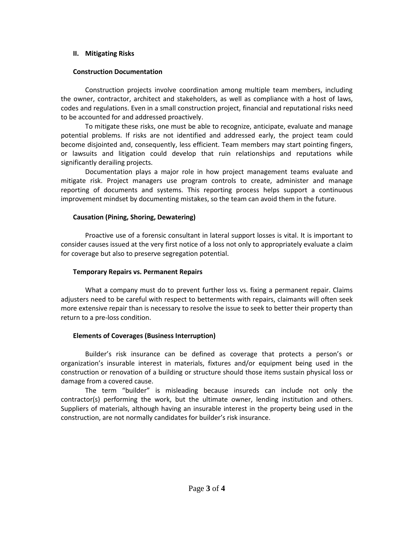#### **II. Mitigating Risks**

# **Construction Documentation**

Construction projects involve coordination among multiple team members, including the owner, contractor, architect and stakeholders, as well as compliance with a host of laws, codes and regulations. Even in a small construction project, financial and reputational risks need to be accounted for and addressed proactively.

To mitigate these risks, one must be able to recognize, anticipate, evaluate and manage potential problems. If risks are not identified and addressed early, the project team could become disjointed and, consequently, less efficient. Team members may start pointing fingers, or lawsuits and litigation could develop that ruin relationships and reputations while significantly derailing projects.

Documentation plays a major role in how project management teams evaluate and mitigate risk. Project managers use program controls to create, administer and manage reporting of documents and systems. This reporting process helps support a continuous improvement mindset by documenting mistakes, so the team can avoid them in the future.

### **Causation (Pining, Shoring, Dewatering)**

Proactive use of a forensic consultant in lateral support losses is vital. It is important to consider causes issued at the very first notice of a loss not only to appropriately evaluate a claim for coverage but also to preserve segregation potential.

## **Temporary Repairs vs. Permanent Repairs**

What a company must do to prevent further loss vs. fixing a permanent repair. Claims adjusters need to be careful with respect to betterments with repairs, claimants will often seek more extensive repair than is necessary to resolve the issue to seek to better their property than return to a pre-loss condition.

# **Elements of Coverages (Business Interruption)**

Builder's risk insurance can be defined as coverage that protects a person's or organization's insurable interest in materials, fixtures and/or equipment being used in the construction or renovation of a building or structure should those items sustain physical loss or damage from a covered cause.

The term "builder" is misleading because insureds can include not only the contractor(s) performing the work, but the ultimate owner, lending institution and others. Suppliers of materials, although having an insurable interest in the property being used in the construction, are not normally candidates for builder's risk insurance.